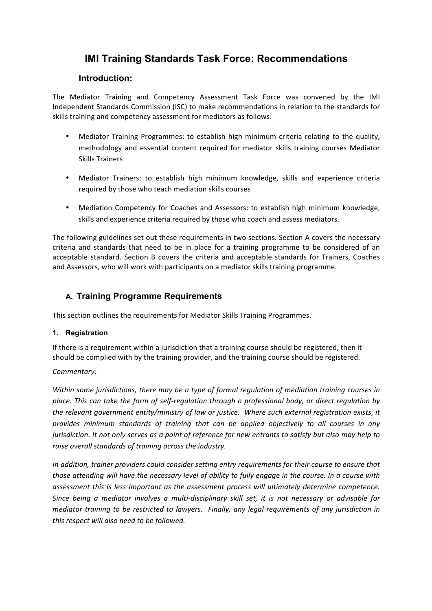## **IMI Training Standards Task Force: Recommendations**

#### **Introduction:**

The Mediator Training and Competency Assessment Task Force was convened by the IMI Independent Standards Commission (ISC) to make recommendations in relation to the standards for skills training and competency assessment for mediators as follows:

- Mediator Training Programmes: to establish high minimum criteria relating to the quality, methodology and essential content required for mediator skills training courses Mediator Skills Trainers
- Mediator Trainers: to establish high minimum knowledge, skills and experience criteria required by those who teach mediation skills courses
- Mediation Competency for Coaches and Assessors: to establish high minimum knowledge, skills and experience criteria required by those who coach and assess mediators.

The following guidelines set out these requirements in two sections. Section A covers the necessary criteria and standards that need to be in place for a training programme to be considered of an acceptable standard. Section B covers the criteria and acceptable standards for Trainers, Coaches and Assessors, who will work with participants on a mediator skills training programme.

## **A. Training Programme Requirements**

This section outlines the requirements for Mediator Skills Training Programmes.

#### **1. Registration**

If there is a requirement within a jurisdiction that a training course should be registered, then it should be complied with by the training provider, and the training course should be registered.

#### *Commentary:*

*Within some jurisdictions, there may be a type of formal regulation of mediation training courses in place. This can take the form of self-regulation through a professional body, or direct regulation by the relevant government entity/ministry of law or justice. Where such external registration exists, it provides minimum standards of training that can be applied objectively to all courses in any* jurisdiction. It not only serves as a point of reference for new entrants to satisfy but also may help to *raise overall standards of training across the industry.*

*In addition, trainer providers could consider setting entry requirements for their course to ensure that* those attending will have the necessary level of ability to fully engage in the course. In a course with *assessment this is less important as the assessment process will ultimately determine competence. Since being a mediator involves a multi-disciplinary skill set, it is not necessary or advisable for mediator training to be restricted to lawyers. Finally, any legal requirements of any jurisdiction in this respect will also need to be followed.*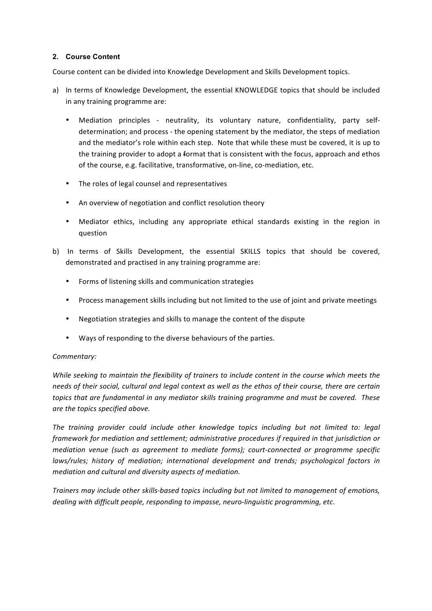#### **2. Course Content**

Course content can be divided into Knowledge Development and Skills Development topics.

- a) In terms of Knowledge Development, the essential KNOWLEDGE topics that should be included in any training programme are:
	- Mediation principles neutrality, its voluntary nature, confidentiality, party selfdetermination; and process - the opening statement by the mediator, the steps of mediation and the mediator's role within each step. Note that while these must be covered, it is up to the training provider to adopt a format that is consistent with the focus, approach and ethos of the course, e.g. facilitative, transformative, on-line, co-mediation, etc.
	- The roles of legal counsel and representatives
	- An overview of negotiation and conflict resolution theory
	- Mediator ethics, including any appropriate ethical standards existing in the region in question
- b) In terms of Skills Development, the essential SKILLS topics that should be covered, demonstrated and practised in any training programme are:
	- Forms of listening skills and communication strategies
	- Process management skills including but not limited to the use of joint and private meetings
	- Negotiation strategies and skills to manage the content of the dispute
	- Ways of responding to the diverse behaviours of the parties.

#### *Commentary:*

*While seeking to maintain the flexibility of trainers to include content in the course which meets the* needs of their social, cultural and legal context as well as the ethos of their course, there are certain *topics that are fundamental in any mediator skills training programme and must be covered. These are the topics specified above.*

*The training provider could include other knowledge topics including but not limited to: legal framework for mediation and settlement; administrative procedures if required in that jurisdiction or mediation venue (such as agreement to mediate forms); court-connected or programme specific laws/rules; history of mediation; international development and trends; psychological factors in mediation and cultural and diversity aspects of mediation.*

*Trainers may include other skills-based topics including but not limited to management of emotions, dealing with difficult people, responding to impasse, neuro-linguistic programming, etc*.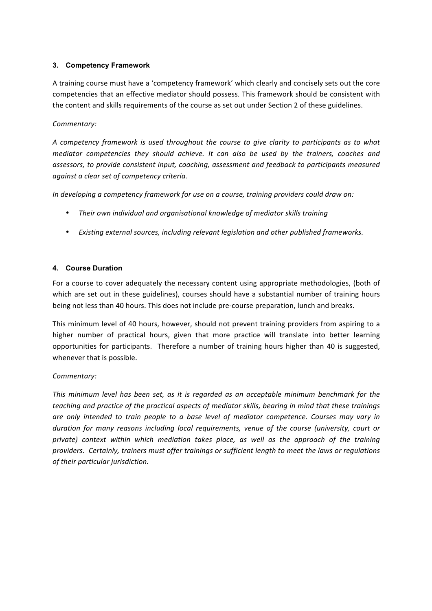#### **3. Competency Framework**

A training course must have a 'competency framework' which clearly and concisely sets out the core competencies that an effective mediator should possess. This framework should be consistent with the content and skills requirements of the course as set out under Section 2 of these guidelines.

#### *Commentary:*

*A competency framework is used throughout the course to give clarity to participants as to what mediator competencies they should achieve. It can also be used by the trainers, coaches and assessors, to provide consistent input, coaching, assessment and feedback to participants measured against a clear set of competency criteria.*

*In developing a competency framework for use on a course, training providers could draw on:*

- *Their own individual and organisational knowledge of mediator skills training*
- *Existing external sources, including relevant legislation and other published frameworks.*

#### **4. Course Duration**

For a course to cover adequately the necessary content using appropriate methodologies, (both of which are set out in these guidelines), courses should have a substantial number of training hours being not less than 40 hours. This does not include pre-course preparation, lunch and breaks.

This minimum level of 40 hours, however, should not prevent training providers from aspiring to a higher number of practical hours, given that more practice will translate into better learning opportunities for participants. Therefore a number of training hours higher than 40 is suggested, whenever that is possible.

#### *Commentary:*

*This minimum level has been set, as it is regarded as an acceptable minimum benchmark for the teaching and practice of the practical aspects of mediator skills, bearing in mind that these trainings are only intended to train people to a base level of mediator competence. Courses may vary in duration for many reasons including local requirements, venue of the course (university, court or private) context within which mediation takes place, as well as the approach of the training providers. Certainly, trainers must offer trainings or sufficient length to meet the laws or regulations of their particular jurisdiction.*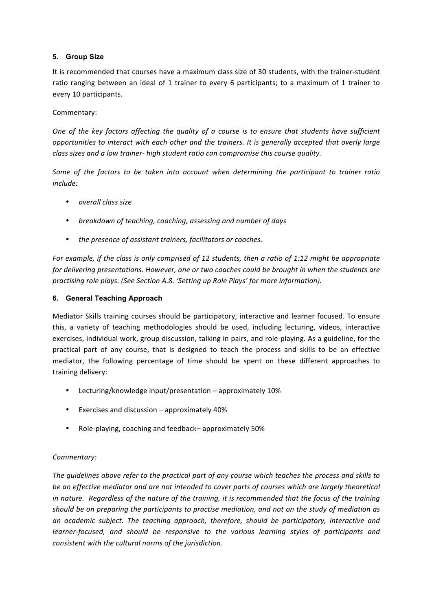#### **5. Group Size**

It is recommended that courses have a maximum class size of 30 students, with the trainer-student ratio ranging between an ideal of 1 trainer to every 6 participants; to a maximum of 1 trainer to every 10 participants.

#### Commentary:

One of the key factors affecting the quality of a course is to ensure that students have sufficient *opportunities to interact with each other and the trainers. It is generally accepted that overly large class sizes and a low trainer- high student ratio can compromise this course quality.*

*Some of the factors to be taken into account when determining the participant to trainer ratio include:*

- *overall class size*
- *breakdown of teaching, coaching, assessing and number of days*
- *the presence of assistant trainers, facilitators or coaches.*

For example, if the class is only comprised of 12 students, then a ratio of 1:12 might be appropriate *for delivering presentations. However, one or two coaches could be brought in when the students are practising role plays. (See Section A.8. 'Setting up Role Plays' for more information).*

#### **6. General Teaching Approach**

Mediator Skills training courses should be participatory, interactive and learner focused. To ensure this, a variety of teaching methodologies should be used, including lecturing, videos, interactive exercises, individual work, group discussion, talking in pairs, and role-playing. As a guideline, for the practical part of any course, that is designed to teach the process and skills to be an effective mediator, the following percentage of time should be spent on these different approaches to training delivery:

- Lecturing/knowledge input/presentation approximately 10%
- Exercises and discussion approximately 40%
- Role-playing, coaching and feedback– approximately 50%

#### *Commentary:*

The quidelines above refer to the practical part of any course which teaches the process and skills to *be an effective mediator and are not intended to cover parts of courses which are largely theoretical in nature. Regardless of the nature of the training, it is recommended that the focus of the training should be on preparing the participants to practise mediation, and not on the study of mediation as an academic subject. The teaching approach, therefore, should be participatory, interactive and learner-focused, and should be responsive to the various learning styles of participants and consistent with the cultural norms of the jurisdiction*.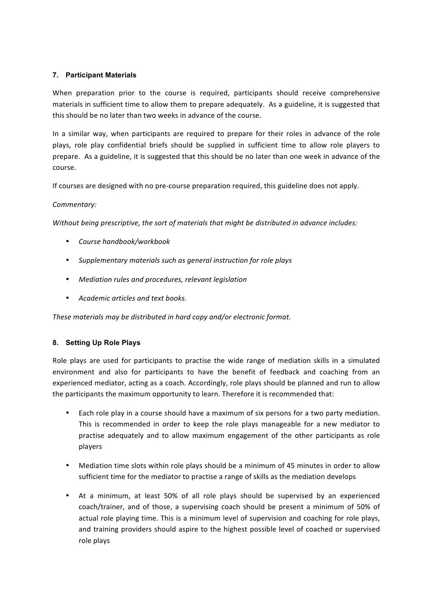#### **7. Participant Materials**

When preparation prior to the course is required, participants should receive comprehensive materials in sufficient time to allow them to prepare adequately. As a guideline, it is suggested that this should be no later than two weeks in advance of the course.

In a similar way, when participants are required to prepare for their roles in advance of the role plays, role play confidential briefs should be supplied in sufficient time to allow role players to prepare. As a guideline, it is suggested that this should be no later than one week in advance of the course.

If courses are designed with no pre-course preparation required, this guideline does not apply.

#### *Commentary:*

*Without being prescriptive, the sort of materials that might be distributed in advance includes:*

- *Course handbook/workbook*
- *Supplementary materials such as general instruction for role plays*
- *Mediation rules and procedures, relevant legislation*
- *Academic articles and text books.*

*These materials may be distributed in hard copy and/or electronic format.* 

#### **8. Setting Up Role Plays**

Role plays are used for participants to practise the wide range of mediation skills in a simulated environment and also for participants to have the benefit of feedback and coaching from an experienced mediator, acting as a coach. Accordingly, role plays should be planned and run to allow the participants the maximum opportunity to learn. Therefore it is recommended that:

- Each role play in a course should have a maximum of six persons for a two party mediation. This is recommended in order to keep the role plays manageable for a new mediator to practise adequately and to allow maximum engagement of the other participants as role players
- Mediation time slots within role plays should be a minimum of 45 minutes in order to allow sufficient time for the mediator to practise a range of skills as the mediation develops
- At a minimum, at least 50% of all role plays should be supervised by an experienced coach/trainer, and of those, a supervising coach should be present a minimum of 50% of actual role playing time. This is a minimum level of supervision and coaching for role plays, and training providers should aspire to the highest possible level of coached or supervised role plays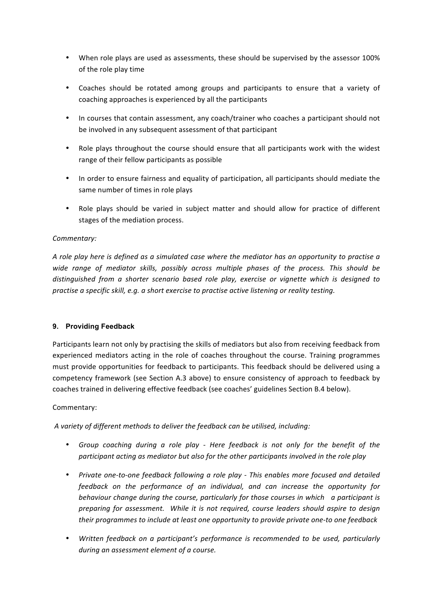- When role plays are used as assessments, these should be supervised by the assessor 100% of the role play time
- Coaches should be rotated among groups and participants to ensure that a variety of coaching approaches is experienced by all the participants
- In courses that contain assessment, any coach/trainer who coaches a participant should not be involved in any subsequent assessment of that participant
- Role plays throughout the course should ensure that all participants work with the widest range of their fellow participants as possible
- In order to ensure fairness and equality of participation, all participants should mediate the same number of times in role plays
- Role plays should be varied in subject matter and should allow for practice of different stages of the mediation process.

#### *Commentary:*

A role play here is defined as a simulated case where the mediator has an opportunity to practise a *wide range of mediator skills, possibly across multiple phases of the process. This should be distinguished from a shorter scenario based role play, exercise or vignette which is designed to practise a specific skill, e.g. a short exercise to practise active listening or reality testing.*

#### **9. Providing Feedback**

Participants learn not only by practising the skills of mediators but also from receiving feedback from experienced mediators acting in the role of coaches throughout the course. Training programmes must provide opportunities for feedback to participants. This feedback should be delivered using a competency framework (see Section A.3 above) to ensure consistency of approach to feedback by coaches trained in delivering effective feedback (see coaches' guidelines Section B.4 below).

#### Commentary:

*A variety of different methods to deliver the feedback can be utilised, including:*

- *Group coaching during a role play - Here feedback is not only for the benefit of the participant acting as mediator but also for the other participants involved in the role play*
- *Private one-to-one feedback following a role play - This enables more focused and detailed feedback on the performance of an individual, and can increase the opportunity for behaviour change during the course, particularly for those courses in which a participant is preparing for assessment. While it is not required, course leaders should aspire to design their programmes to include at least one opportunity to provide private one-to one feedback*
- *Written feedback on a participant's performance is recommended to be used, particularly during an assessment element of a course.*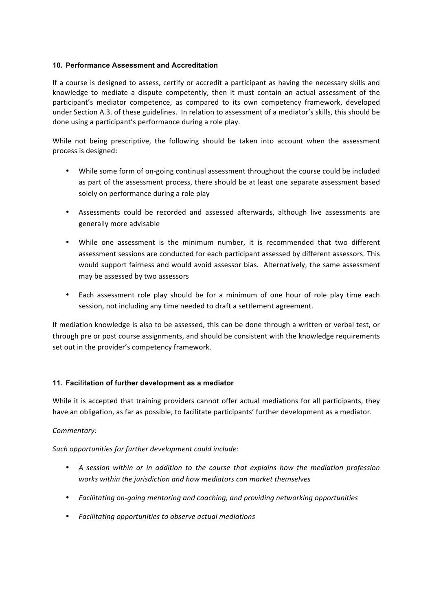#### **10. Performance Assessment and Accreditation**

If a course is designed to assess, certify or accredit a participant as having the necessary skills and knowledge to mediate a dispute competently, then it must contain an actual assessment of the participant's mediator competence, as compared to its own competency framework, developed under Section A.3. of these guidelines. In relation to assessment of a mediator's skills, this should be done using a participant's performance during a role play.

While not being prescriptive, the following should be taken into account when the assessment process is designed:

- While some form of on-going continual assessment throughout the course could be included as part of the assessment process, there should be at least one separate assessment based solely on performance during a role play
- Assessments could be recorded and assessed afterwards, although live assessments are generally more advisable
- While one assessment is the minimum number, it is recommended that two different assessment sessions are conducted for each participant assessed by different assessors. This would support fairness and would avoid assessor bias. Alternatively, the same assessment may be assessed by two assessors
- Each assessment role play should be for a minimum of one hour of role play time each session, not including any time needed to draft a settlement agreement.

If mediation knowledge is also to be assessed, this can be done through a written or verbal test, or through pre or post course assignments, and should be consistent with the knowledge requirements set out in the provider's competency framework.

#### **11. Facilitation of further development as a mediator**

While it is accepted that training providers cannot offer actual mediations for all participants, they have an obligation, as far as possible, to facilitate participants' further development as a mediator.

#### *Commentary:*

*Such opportunities for further development could include:*

- *A session within or in addition to the course that explains how the mediation profession works within the jurisdiction and how mediators can market themselves*
- *Facilitating on-going mentoring and coaching, and providing networking opportunities*
- *Facilitating opportunities to observe actual mediations*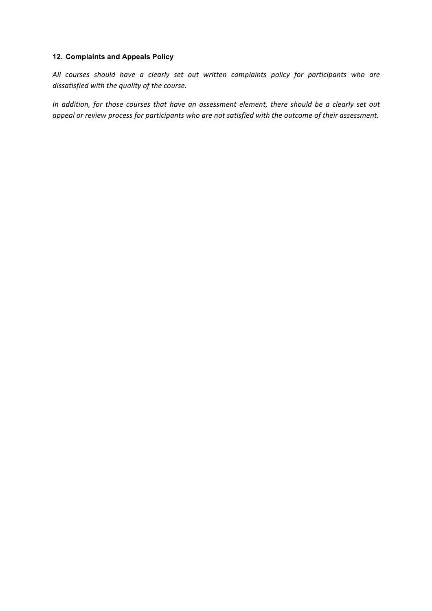#### **12. Complaints and Appeals Policy**

*All courses should have a clearly set out written complaints policy for participants who are dissatisfied with the quality of the course.*

*In addition, for those courses that have an assessment element, there should be a clearly set out appeal or review process for participants who are not satisfied with the outcome of their assessment.*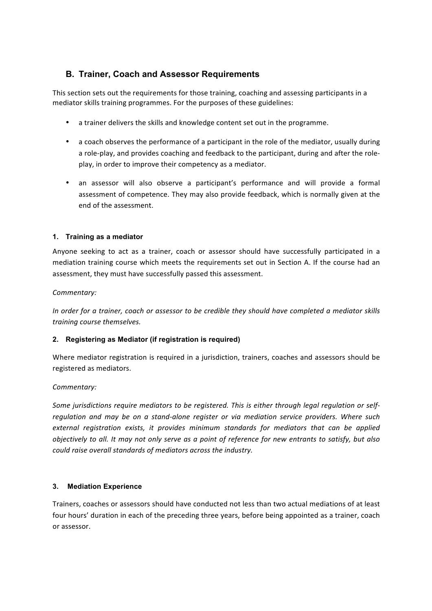## **B. Trainer, Coach and Assessor Requirements**

This section sets out the requirements for those training, coaching and assessing participants in a mediator skills training programmes. For the purposes of these guidelines:

- a trainer delivers the skills and knowledge content set out in the programme.
- a coach observes the performance of a participant in the role of the mediator, usually during a role-play, and provides coaching and feedback to the participant, during and after the roleplay, in order to improve their competency as a mediator.
- an assessor will also observe a participant's performance and will provide a formal assessment of competence. They may also provide feedback, which is normally given at the end of the assessment.

#### **1. Training as a mediator**

Anyone seeking to act as a trainer, coach or assessor should have successfully participated in a mediation training course which meets the requirements set out in Section A. If the course had an assessment, they must have successfully passed this assessment.

#### *Commentary:*

In order for a trainer, coach or assessor to be credible they should have completed a mediator skills *training course themselves.*

#### **2. Registering as Mediator (if registration is required)**

Where mediator registration is required in a jurisdiction, trainers, coaches and assessors should be registered as mediators. 

#### *Commentary:*

*Some jurisdictions require mediators to be registered. This is either through legal regulation or selfregulation and may be on a stand-alone register or via mediation service providers. Where such external registration exists, it provides minimum standards for mediators that can be applied* objectively to all. It may not only serve as a point of reference for new entrants to satisfy, but also *could raise overall standards of mediators across the industry.*

#### **3. Mediation Experience**

Trainers, coaches or assessors should have conducted not less than two actual mediations of at least four hours' duration in each of the preceding three years, before being appointed as a trainer, coach or assessor.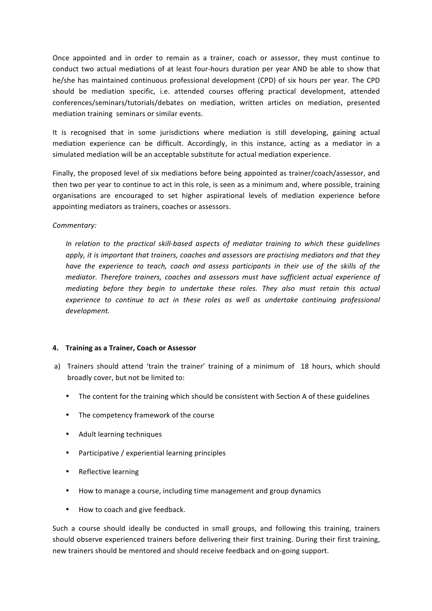Once appointed and in order to remain as a trainer, coach or assessor, they must continue to conduct two actual mediations of at least four-hours duration per year AND be able to show that he/she has maintained continuous professional development (CPD) of six hours per year. The CPD should be mediation specific, i.e. attended courses offering practical development, attended conferences/seminars/tutorials/debates on mediation, written articles on mediation, presented mediation training seminars or similar events.

It is recognised that in some jurisdictions where mediation is still developing, gaining actual mediation experience can be difficult. Accordingly, in this instance, acting as a mediator in a simulated mediation will be an acceptable substitute for actual mediation experience.

Finally, the proposed level of six mediations before being appointed as trainer/coach/assessor, and then two per year to continue to act in this role, is seen as a minimum and, where possible, training organisations are encouraged to set higher aspirational levels of mediation experience before appointing mediators as trainers, coaches or assessors.

#### *Commentary:*

*In relation to the practical skill-based aspects of mediator training to which these guidelines apply, it is important that trainers, coaches and assessors are practising mediators and that they have the experience to teach, coach and assess participants in their use of the skills of the mediator. Therefore trainers, coaches and assessors must have sufficient actual experience of mediating before they begin to undertake these roles. They also must retain this actual experience to continue to act in these roles as well as undertake continuing professional development.*

#### **4. Training as a Trainer, Coach or Assessor**

- a) Trainers should attend 'train the trainer' training of a minimum of 18 hours, which should broadly cover, but not be limited to:
	- The content for the training which should be consistent with Section A of these guidelines
	- The competency framework of the course
	- Adult learning techniques
	- Participative / experiential learning principles
	- Reflective learning
	- How to manage a course, including time management and group dynamics
	- How to coach and give feedback.

Such a course should ideally be conducted in small groups, and following this training, trainers should observe experienced trainers before delivering their first training. During their first training, new trainers should be mentored and should receive feedback and on-going support.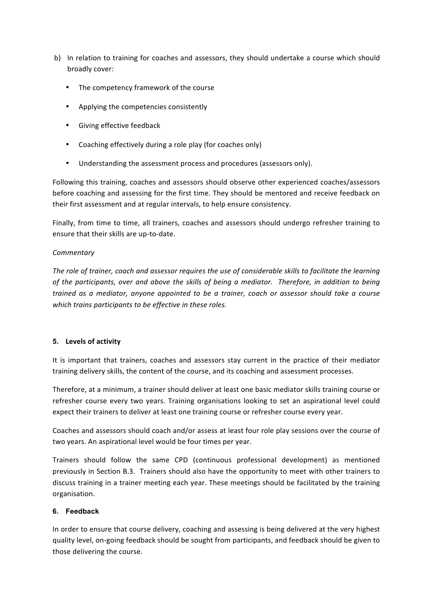- b) In relation to training for coaches and assessors, they should undertake a course which should broadly cover:
	- The competency framework of the course
	- Applying the competencies consistently
	- Giving effective feedback
	- Coaching effectively during a role play (for coaches only)
	- Understanding the assessment process and procedures (assessors only).

Following this training, coaches and assessors should observe other experienced coaches/assessors before coaching and assessing for the first time. They should be mentored and receive feedback on their first assessment and at regular intervals, to help ensure consistency.

Finally, from time to time, all trainers, coaches and assessors should undergo refresher training to ensure that their skills are up-to-date.

#### *Commentary*

The role of trainer, coach and assessor requires the use of considerable skills to facilitate the learning *of the participants, over and above the skills of being a mediator. Therefore, in addition to being trained as a mediator, anyone appointed to be a trainer, coach or assessor should take a course which trains participants to be effective in these roles.*

#### **5. Levels of activity**

It is important that trainers, coaches and assessors stay current in the practice of their mediator training delivery skills, the content of the course, and its coaching and assessment processes.

Therefore, at a minimum, a trainer should deliver at least one basic mediator skills training course or refresher course every two years. Training organisations looking to set an aspirational level could expect their trainers to deliver at least one training course or refresher course every year.

Coaches and assessors should coach and/or assess at least four role play sessions over the course of two years. An aspirational level would be four times per year.

Trainers should follow the same CPD (continuous professional development) as mentioned previously in Section B.3. Trainers should also have the opportunity to meet with other trainers to discuss training in a trainer meeting each year. These meetings should be facilitated by the training organisation.

#### **6. Feedback**

In order to ensure that course delivery, coaching and assessing is being delivered at the very highest quality level, on-going feedback should be sought from participants, and feedback should be given to those delivering the course.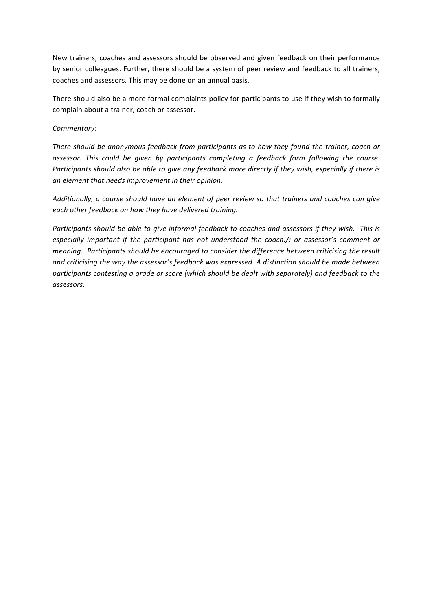New trainers, coaches and assessors should be observed and given feedback on their performance by senior colleagues. Further, there should be a system of peer review and feedback to all trainers, coaches and assessors. This may be done on an annual basis.

There should also be a more formal complaints policy for participants to use if they wish to formally complain about a trainer, coach or assessor. 

#### *Commentary:*

*There should be anonymous feedback from participants as to how they found the trainer, coach or assessor. This could be given by participants completing a feedback form following the course.*  Participants should also be able to give any feedback more directly if they wish, especially if there is *an element that needs improvement in their opinion.*

*Additionally, a course should have an element of peer review so that trainers and coaches can give each other feedback on how they have delivered training.* 

*Participants should be able to give informal feedback to coaches and assessors if they wish. This is especially important if the participant has not understood the coach./; or assessor's comment or meaning. Participants should be encouraged to consider the difference between criticising the result and criticising the way the assessor's feedback was expressed. A distinction should be made between participants contesting a grade or score (which should be dealt with separately) and feedback to the assessors.*